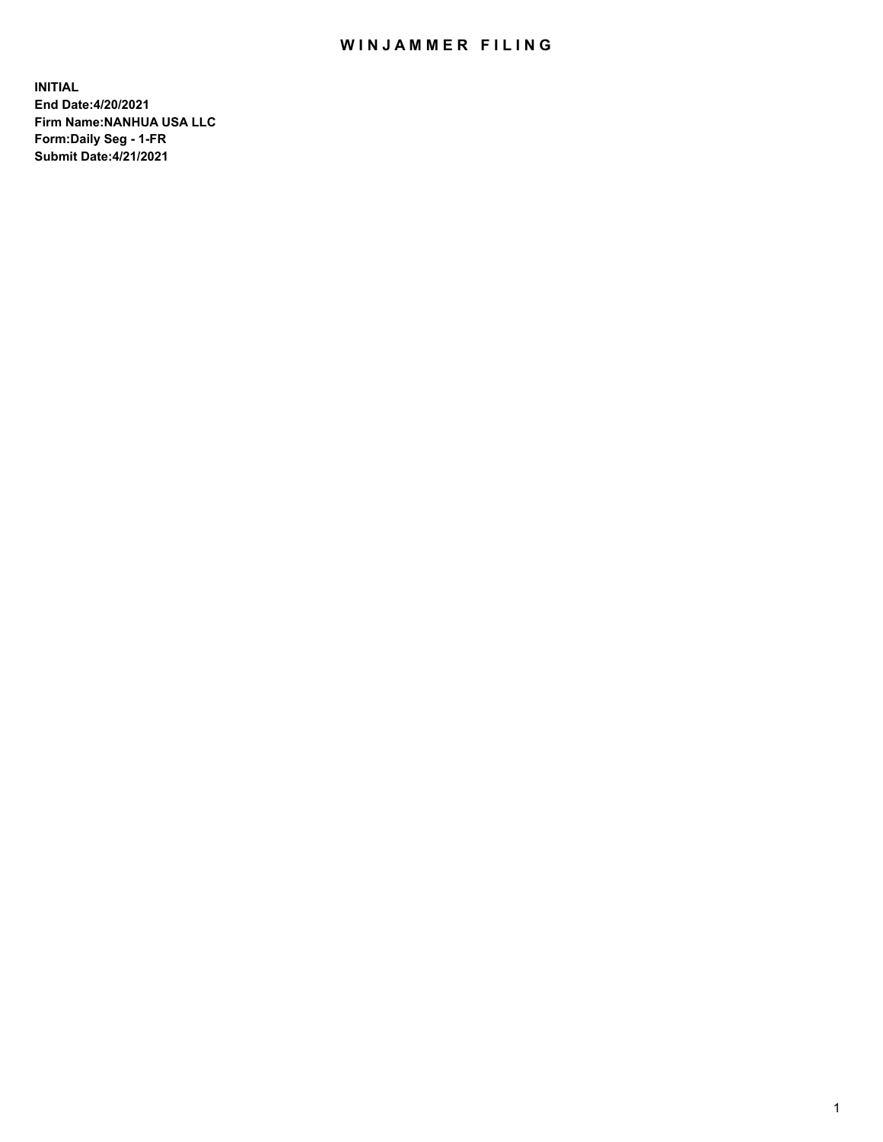## WIN JAMMER FILING

**INITIAL End Date:4/20/2021 Firm Name:NANHUA USA LLC Form:Daily Seg - 1-FR Submit Date:4/21/2021**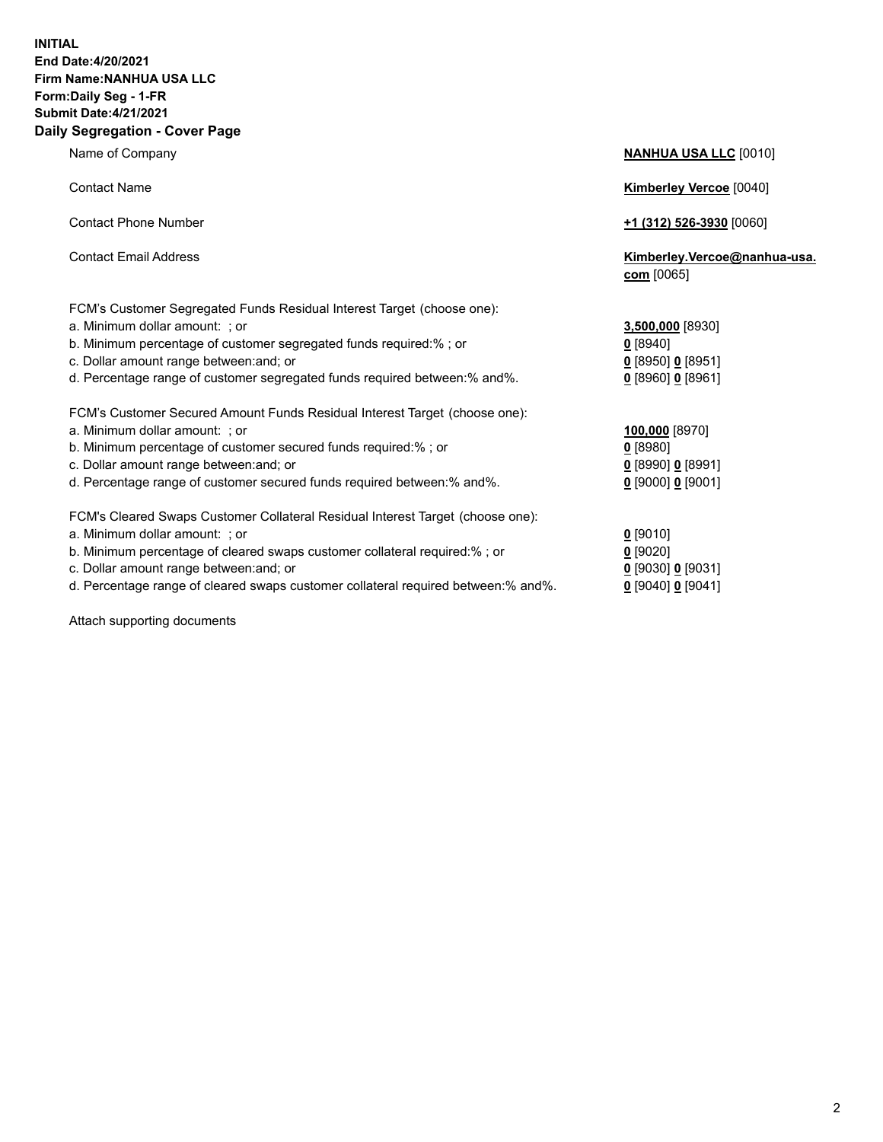## **INITIAL End Date:4/20/2021 Firm Name:NANHUA USA LLC Form:Daily Seg - 1-FR Submit Date:4/21/2021 Daily Segregation - Cover Page**

Name of Company **NANHUA USA LLC** [0010]

| <b>Contact Name</b>                                                                                                                                                                                                                                                                                     | <b>Kimberley Vercoe</b> [0040]                                             |  |
|---------------------------------------------------------------------------------------------------------------------------------------------------------------------------------------------------------------------------------------------------------------------------------------------------------|----------------------------------------------------------------------------|--|
| <b>Contact Phone Number</b>                                                                                                                                                                                                                                                                             | <u>+1 (312) 526-3930</u> [0060]                                            |  |
| <b>Contact Email Address</b>                                                                                                                                                                                                                                                                            | Kimberley.Vercoe@nanhua-usa.<br>$com$ [0065]                               |  |
| FCM's Customer Segregated Funds Residual Interest Target (choose one):<br>a. Minimum dollar amount: ; or<br>b. Minimum percentage of customer segregated funds required:%; or<br>c. Dollar amount range between: and; or<br>d. Percentage range of customer segregated funds required between: % and %. | 3,500,000 [8930]<br>0 [8940]<br>$0$ [8950] 0 [8951]<br>$0$ [8960] 0 [8961] |  |
| FCM's Customer Secured Amount Funds Residual Interest Target (choose one):<br>a. Minimum dollar amount: ; or<br>b. Minimum percentage of customer secured funds required:%; or<br>c. Dollar amount range between: and; or<br>d. Percentage range of customer secured funds required between: % and %.   | 100,000 [8970]<br>$0$ [8980]<br>$0$ [8990] 0 [8991]<br>$0$ [9000] 0 [9001] |  |
| FCM's Cleared Swaps Customer Collateral Residual Interest Target (choose one):<br>a. Minimum dollar amount: ; or<br>b. Minimum percentage of cleared swaps customer collateral required:%; or                                                                                                           | $0$ [9010]<br>$0$ [9020]                                                   |  |

- 
- c. Dollar amount range between:and; or **0** [9]<br>d. Percentage range of cleared swaps customer collateral required between:% and%. d. Percentage range of cleared swaps customer collateral required between:% and%. **0** [9040] **0** [9041]

Attach supporting documents

| [9010]                 |
|------------------------|
| [9020]                 |
| [9030] <b>0</b> [9031] |
| 190401 <b>0</b> 190411 |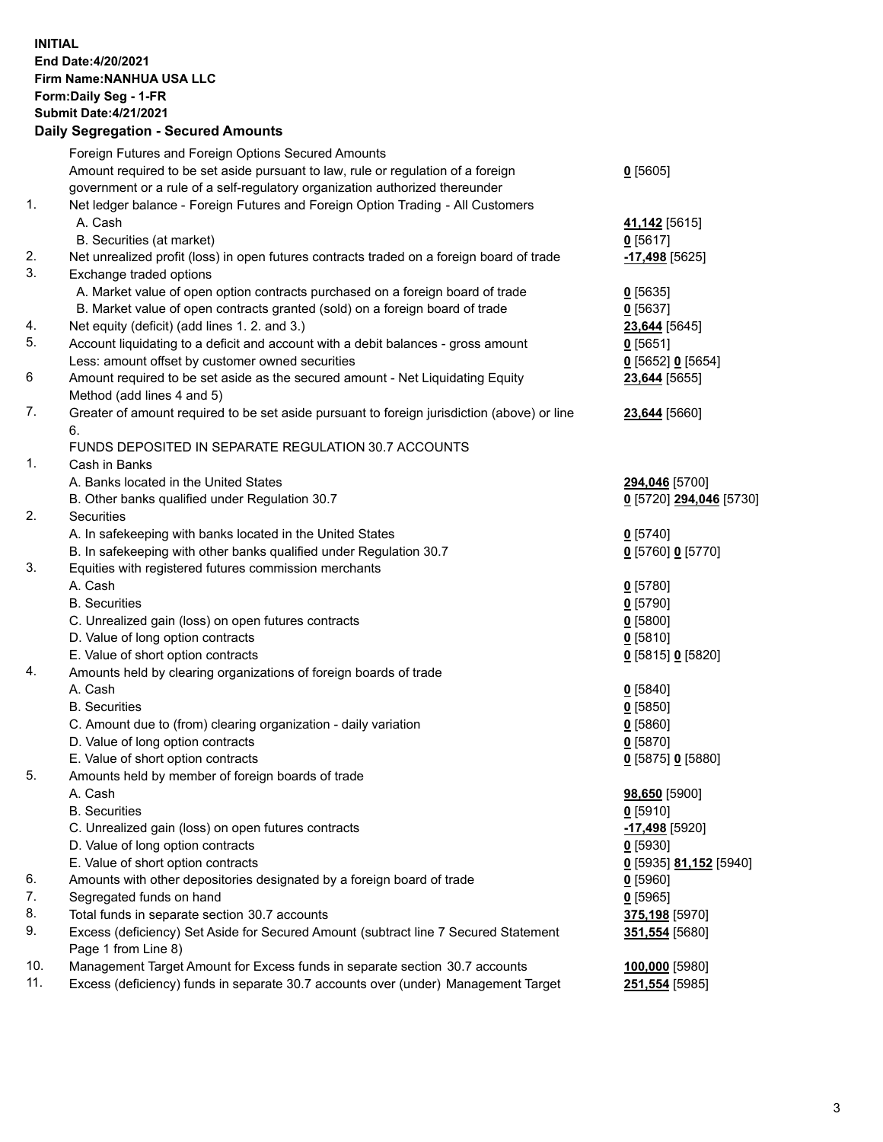**INITIAL End Date:4/20/2021 Firm Name:NANHUA USA LLC Form:Daily Seg - 1-FR Submit Date:4/21/2021**

## **Daily Segregation - Secured Amounts**

|     | Foreign Futures and Foreign Options Secured Amounts                                         |                                      |
|-----|---------------------------------------------------------------------------------------------|--------------------------------------|
|     | Amount required to be set aside pursuant to law, rule or regulation of a foreign            | $0$ [5605]                           |
|     | government or a rule of a self-regulatory organization authorized thereunder                |                                      |
| 1.  | Net ledger balance - Foreign Futures and Foreign Option Trading - All Customers             |                                      |
|     | A. Cash                                                                                     | 41,142 <sub>[5615]</sub>             |
|     | B. Securities (at market)                                                                   | $0$ [5617]                           |
| 2.  | Net unrealized profit (loss) in open futures contracts traded on a foreign board of trade   | -17,498 [5625]                       |
| 3.  | Exchange traded options                                                                     |                                      |
|     | A. Market value of open option contracts purchased on a foreign board of trade              | $0$ [5635]                           |
|     | B. Market value of open contracts granted (sold) on a foreign board of trade                | $0$ [5637]                           |
| 4.  | Net equity (deficit) (add lines 1. 2. and 3.)                                               | 23,644 [5645]                        |
| 5.  | Account liquidating to a deficit and account with a debit balances - gross amount           | $0$ [5651]                           |
|     | Less: amount offset by customer owned securities                                            | 0 [5652] 0 [5654]                    |
| 6   | Amount required to be set aside as the secured amount - Net Liquidating Equity              | 23,644 [5655]                        |
|     | Method (add lines 4 and 5)                                                                  |                                      |
| 7.  | Greater of amount required to be set aside pursuant to foreign jurisdiction (above) or line | 23,644 [5660]                        |
|     | 6.                                                                                          |                                      |
|     | FUNDS DEPOSITED IN SEPARATE REGULATION 30.7 ACCOUNTS                                        |                                      |
| 1.  | Cash in Banks                                                                               |                                      |
|     | A. Banks located in the United States                                                       | 294,046 [5700]                       |
|     | B. Other banks qualified under Regulation 30.7                                              | <u>0</u> [5720] 294,046 [5730]       |
| 2.  | <b>Securities</b>                                                                           |                                      |
|     | A. In safekeeping with banks located in the United States                                   | $0$ [5740]                           |
|     | B. In safekeeping with other banks qualified under Regulation 30.7                          | 0 [5760] 0 [5770]                    |
| 3.  | Equities with registered futures commission merchants                                       |                                      |
|     | A. Cash                                                                                     | $0$ [5780]                           |
|     | <b>B.</b> Securities                                                                        | $0$ [5790]                           |
|     | C. Unrealized gain (loss) on open futures contracts                                         | $0$ [5800]                           |
|     | D. Value of long option contracts                                                           | $0$ [5810]                           |
|     | E. Value of short option contracts                                                          | 0 [5815] 0 [5820]                    |
| 4.  | Amounts held by clearing organizations of foreign boards of trade                           |                                      |
|     | A. Cash                                                                                     | $0$ [5840]                           |
|     | <b>B.</b> Securities                                                                        | $0$ [5850]                           |
|     | C. Amount due to (from) clearing organization - daily variation                             | $0$ [5860]                           |
|     | D. Value of long option contracts                                                           | $0$ [5870]                           |
|     | E. Value of short option contracts                                                          | 0 [5875] 0 [5880]                    |
| 5.  | Amounts held by member of foreign boards of trade                                           |                                      |
|     | A. Cash                                                                                     | 98,650 [5900]                        |
|     | <b>B.</b> Securities                                                                        | $0$ [5910]                           |
|     | C. Unrealized gain (loss) on open futures contracts                                         | -17,498 [5920]                       |
|     | D. Value of long option contracts                                                           | $0$ [5930]                           |
|     | E. Value of short option contracts                                                          | <u>0</u> [5935] <u>81,152</u> [5940] |
| 6.  | Amounts with other depositories designated by a foreign board of trade                      | $0$ [5960]                           |
| 7.  | Segregated funds on hand                                                                    | $0$ [5965]                           |
| 8.  | Total funds in separate section 30.7 accounts                                               | 375,198 [5970]                       |
| 9.  | Excess (deficiency) Set Aside for Secured Amount (subtract line 7 Secured Statement         | 351,554 [5680]                       |
|     | Page 1 from Line 8)                                                                         |                                      |
| 10. | Management Target Amount for Excess funds in separate section 30.7 accounts                 | 100,000 [5980]                       |
| 11. | Excess (deficiency) funds in separate 30.7 accounts over (under) Management Target          | <u>251,554</u> [5985]                |
|     |                                                                                             |                                      |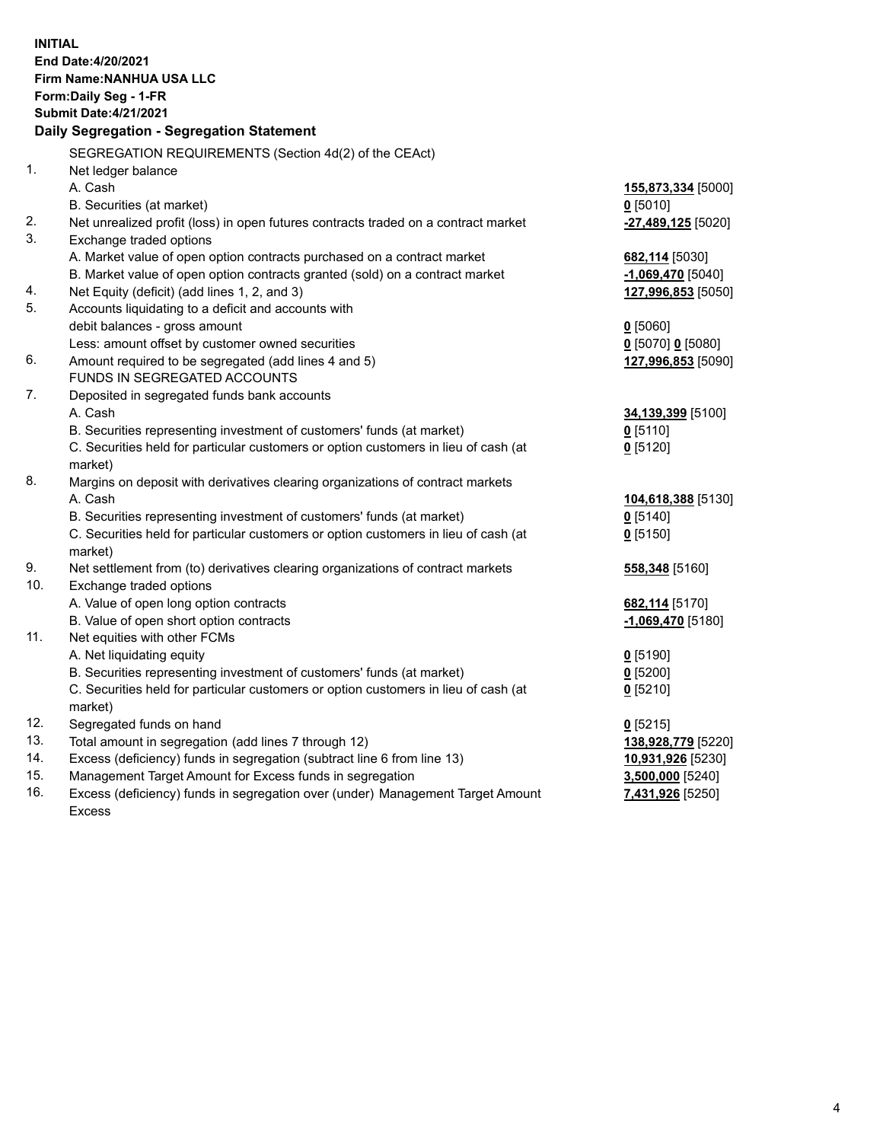| <b>INITIAL</b> | End Date: 4/20/2021<br>Firm Name: NANHUA USA LLC<br>Form: Daily Seg - 1-FR<br><b>Submit Date: 4/21/2021</b><br>Daily Segregation - Segregation Statement |                     |
|----------------|----------------------------------------------------------------------------------------------------------------------------------------------------------|---------------------|
|                | SEGREGATION REQUIREMENTS (Section 4d(2) of the CEAct)                                                                                                    |                     |
| 1.             | Net ledger balance                                                                                                                                       |                     |
|                | A. Cash                                                                                                                                                  | 155,873,334 [5000]  |
|                | B. Securities (at market)                                                                                                                                | $0$ [5010]          |
| 2.             | Net unrealized profit (loss) in open futures contracts traded on a contract market                                                                       | -27,489,125 [5020]  |
| 3.             | Exchange traded options                                                                                                                                  |                     |
|                | A. Market value of open option contracts purchased on a contract market                                                                                  | 682,114 [5030]      |
|                | B. Market value of open option contracts granted (sold) on a contract market                                                                             | $-1,069,470$ [5040] |
| 4.             | Net Equity (deficit) (add lines 1, 2, and 3)                                                                                                             | 127,996,853 [5050]  |
| 5.             | Accounts liquidating to a deficit and accounts with                                                                                                      |                     |
|                | debit balances - gross amount                                                                                                                            | $0$ [5060]          |
|                | Less: amount offset by customer owned securities                                                                                                         | 0 [5070] 0 [5080]   |
| 6.             | Amount required to be segregated (add lines 4 and 5)                                                                                                     | 127,996,853 [5090]  |
| 7.             | FUNDS IN SEGREGATED ACCOUNTS                                                                                                                             |                     |
|                | Deposited in segregated funds bank accounts                                                                                                              |                     |
|                | A. Cash<br>B. Securities representing investment of customers' funds (at market)                                                                         | 34,139,399 [5100]   |
|                | C. Securities held for particular customers or option customers in lieu of cash (at                                                                      | $0$ [5110]          |
|                | market)                                                                                                                                                  | $0$ [5120]          |
| 8.             | Margins on deposit with derivatives clearing organizations of contract markets                                                                           |                     |
|                | A. Cash                                                                                                                                                  | 104,618,388 [5130]  |
|                | B. Securities representing investment of customers' funds (at market)                                                                                    | $0$ [5140]          |
|                | C. Securities held for particular customers or option customers in lieu of cash (at                                                                      | $0$ [5150]          |
|                | market)                                                                                                                                                  |                     |
| 9.             | Net settlement from (to) derivatives clearing organizations of contract markets                                                                          | 558,348 [5160]      |
| 10.            | Exchange traded options                                                                                                                                  |                     |
|                | A. Value of open long option contracts                                                                                                                   | 682,114 [5170]      |
|                | B. Value of open short option contracts                                                                                                                  | -1,069,470 [5180]   |
| 11.            | Net equities with other FCMs                                                                                                                             |                     |
|                | A. Net liquidating equity                                                                                                                                | $0$ [5190]          |
|                | B. Securities representing investment of customers' funds (at market)                                                                                    | $0$ [5200]          |
|                | C. Securities held for particular customers or option customers in lieu of cash (at                                                                      | $0$ [5210]          |
|                | market)                                                                                                                                                  |                     |
| 12.            | Segregated funds on hand                                                                                                                                 | $0$ [5215]          |
| 13.            | Total amount in segregation (add lines 7 through 12)                                                                                                     | 138,928,779 [5220]  |
| 14.            | Excess (deficiency) funds in segregation (subtract line 6 from line 13)                                                                                  | 10,931,926 [5230]   |
| 15.            | Management Target Amount for Excess funds in segregation                                                                                                 | 3,500,000 [5240]    |
| 16.            | Excess (deficiency) funds in segregation over (under) Management Target Amount                                                                           | 7,431,926 [5250]    |
|                | <b>Excess</b>                                                                                                                                            |                     |